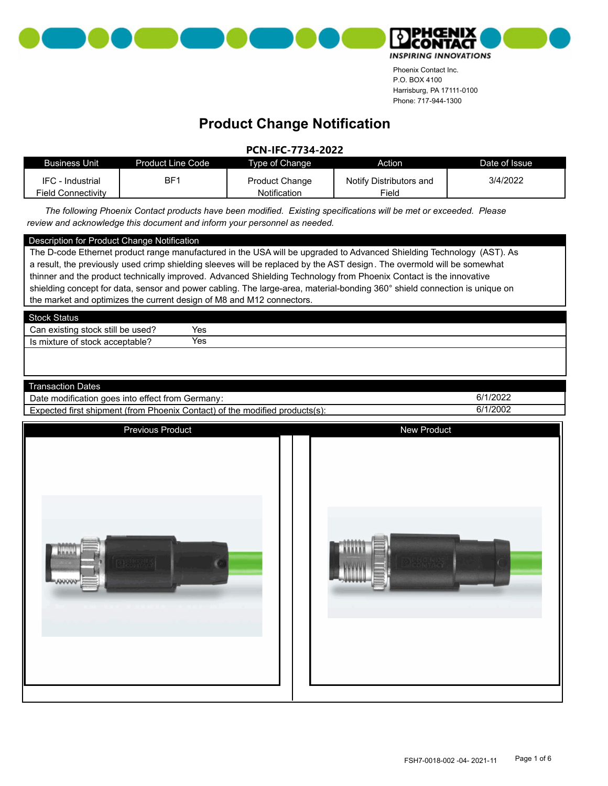



#### **Product Change Notification**

**PCN-IFC-7734-2022**

| <b>Business Unit</b>      | <b>Product Line Code</b> | Type of Change        | Action                  | Date of Issue |
|---------------------------|--------------------------|-----------------------|-------------------------|---------------|
| IFC - Industrial          | BF1                      | <b>Product Change</b> | Notify Distributors and | 3/4/2022      |
| <b>Field Connectivity</b> |                          | Notification          | Field                   |               |

*The following Phoenix Contact products have been modified. Existing specifications will be met or exceeded. Please review and acknowledge this document and inform your personnel as needed.*

#### Description for Product Change Notification

The D-code Ethernet product range manufactured in the USA will be upgraded to Advanced Shielding Technology (AST). As a result, the previously used crimp shielding sleeves will be replaced by the AST design. The overmold will be somewhat thinner and the product technically improved. Advanced Shielding Technology from Phoenix Contact is the innovative shielding concept for data, sensor and power cabling. The large-area, material-bonding 360° shield connection is unique on the market and optimizes the current design of M8 and M12 connectors.

| <b>Stock Status</b>               |     |  |  |
|-----------------------------------|-----|--|--|
| Can existing stock still be used? | Yes |  |  |
| Is mixture of stock acceptable?   | Yes |  |  |
|                                   |     |  |  |

| Transaction L<br>שates                                                                                       |          |
|--------------------------------------------------------------------------------------------------------------|----------|
| $\cdots$<br>Date<br>. Germanv∶<br>goes into<br>. modification<br>ettect from ،                               | 6/1/2022 |
| modified<br>  products(s):<br>Expected<br>. of the<br>' first<br>(from<br>Phoenix<br>.contact) ٿ<br>shipment | 6/1/2002 |

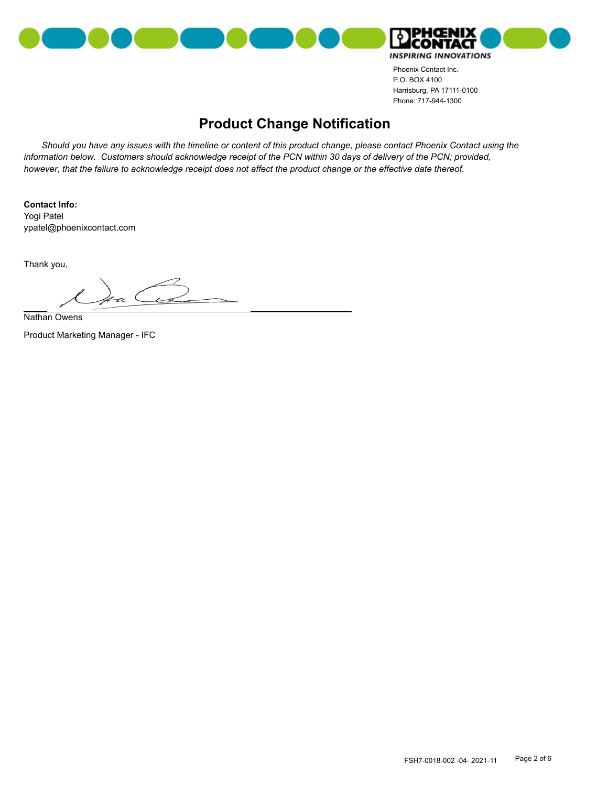



#### **Product Change Notification**

*Should you have any issues with the timeline or content of this product change, please contact Phoenix Contact using the*  information below. Customers should acknowledge receipt of the PCN within 30 days of delivery of the PCN; provided, *however, that the failure to acknowledge receipt does not affect the product change or the effective date thereof.*

**Contact Info:** ypatel@phoenixcontact.com Yogi Patel

Thank you,

Nathan Owens

Product Marketing Manager - IFC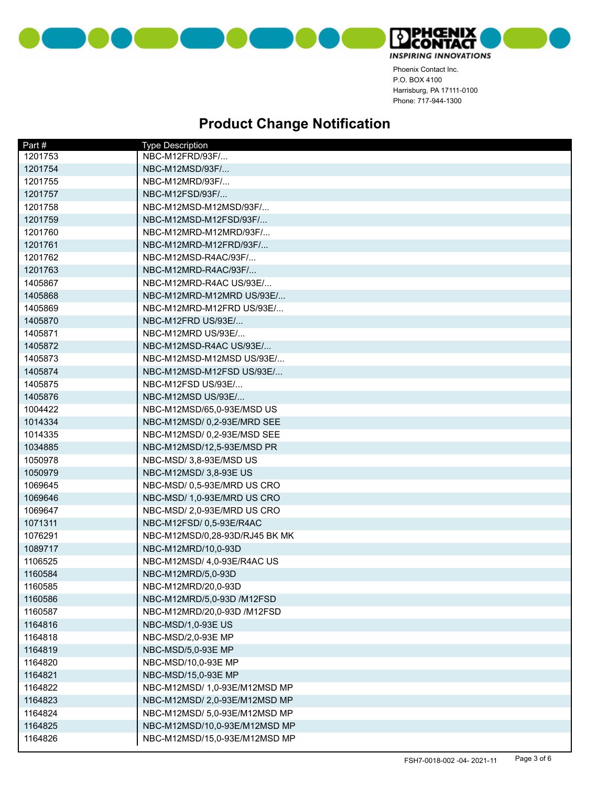



| Part#   | <b>Type Description</b>        |
|---------|--------------------------------|
| 1201753 | NBC-M12FRD/93F/                |
| 1201754 | NBC-M12MSD/93F/                |
| 1201755 | NBC-M12MRD/93F/                |
| 1201757 | NBC-M12FSD/93F/                |
| 1201758 | NBC-M12MSD-M12MSD/93F/         |
| 1201759 | NBC-M12MSD-M12FSD/93F/         |
| 1201760 | NBC-M12MRD-M12MRD/93F/         |
| 1201761 | NBC-M12MRD-M12FRD/93F/         |
| 1201762 | NBC-M12MSD-R4AC/93F/           |
| 1201763 | NBC-M12MRD-R4AC/93F/           |
| 1405867 | NBC-M12MRD-R4AC US/93E/        |
| 1405868 | NBC-M12MRD-M12MRD US/93E/      |
| 1405869 | NBC-M12MRD-M12FRD US/93E/      |
| 1405870 | NBC-M12FRD US/93E/             |
| 1405871 | NBC-M12MRD US/93E/             |
| 1405872 | NBC-M12MSD-R4AC US/93E/        |
| 1405873 | NBC-M12MSD-M12MSD US/93E/      |
| 1405874 | NBC-M12MSD-M12FSD US/93E/      |
| 1405875 | NBC-M12FSD US/93E/             |
| 1405876 | NBC-M12MSD US/93E/             |
| 1004422 | NBC-M12MSD/65,0-93E/MSD US     |
| 1014334 | NBC-M12MSD/ 0,2-93E/MRD SEE    |
| 1014335 | NBC-M12MSD/0,2-93E/MSD SEE     |
| 1034885 | NBC-M12MSD/12,5-93E/MSD PR     |
| 1050978 | NBC-MSD/3,8-93E/MSD US         |
| 1050979 | NBC-M12MSD/ 3,8-93E US         |
| 1069645 | NBC-MSD/ 0,5-93E/MRD US CRO    |
| 1069646 | NBC-MSD/ 1,0-93E/MRD US CRO    |
| 1069647 | NBC-MSD/ 2,0-93E/MRD US CRO    |
| 1071311 | NBC-M12FSD/ 0,5-93E/R4AC       |
| 1076291 | NBC-M12MSD/0,28-93D/RJ45 BK MK |
| 1089717 | NBC-M12MRD/10,0-93D            |
| 1106525 | NBC-M12MSD/ 4,0-93E/R4AC US    |
| 1160584 | NBC-M12MRD/5,0-93D             |
| 1160585 | NBC-M12MRD/20,0-93D            |
| 1160586 | NBC-M12MRD/5,0-93D /M12FSD     |
| 1160587 | NBC-M12MRD/20,0-93D /M12FSD    |
| 1164816 | NBC-MSD/1,0-93E US             |
| 1164818 | NBC-MSD/2,0-93E MP             |
| 1164819 | NBC-MSD/5,0-93E MP             |
| 1164820 | NBC-MSD/10,0-93E MP            |
| 1164821 | NBC-MSD/15,0-93E MP            |
| 1164822 | NBC-M12MSD/ 1,0-93E/M12MSD MP  |
| 1164823 | NBC-M12MSD/2,0-93E/M12MSD MP   |
| 1164824 | NBC-M12MSD/ 5,0-93E/M12MSD MP  |
| 1164825 | NBC-M12MSD/10,0-93E/M12MSD MP  |
| 1164826 | NBC-M12MSD/15,0-93E/M12MSD MP  |
|         |                                |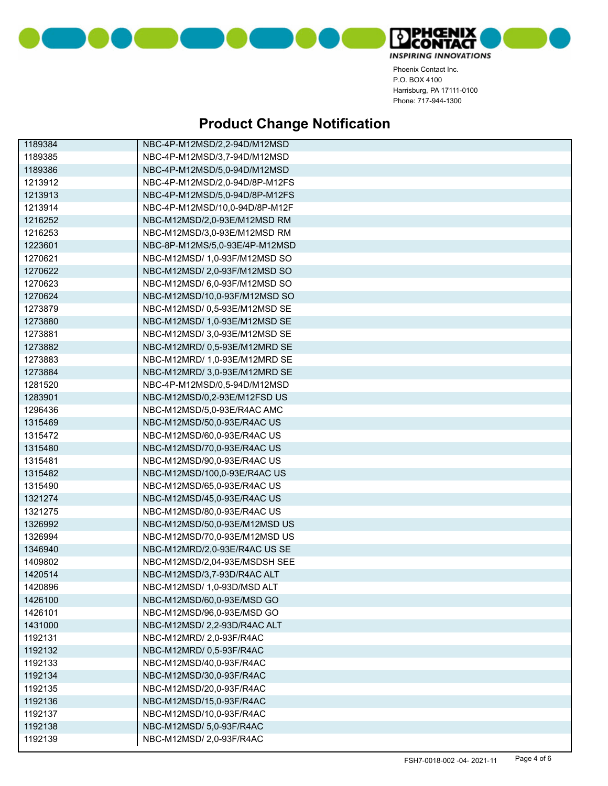



| 1189384 | NBC-4P-M12MSD/2,2-94D/M12MSD   |
|---------|--------------------------------|
| 1189385 | NBC-4P-M12MSD/3,7-94D/M12MSD   |
| 1189386 | NBC-4P-M12MSD/5,0-94D/M12MSD   |
| 1213912 | NBC-4P-M12MSD/2,0-94D/8P-M12FS |
| 1213913 | NBC-4P-M12MSD/5,0-94D/8P-M12FS |
| 1213914 | NBC-4P-M12MSD/10,0-94D/8P-M12F |
| 1216252 | NBC-M12MSD/2,0-93E/M12MSD RM   |
| 1216253 | NBC-M12MSD/3,0-93E/M12MSD RM   |
| 1223601 | NBC-8P-M12MS/5,0-93E/4P-M12MSD |
| 1270621 | NBC-M12MSD/ 1,0-93F/M12MSD SO  |
| 1270622 | NBC-M12MSD/2,0-93F/M12MSD SO   |
| 1270623 | NBC-M12MSD/ 6,0-93F/M12MSD SO  |
| 1270624 | NBC-M12MSD/10,0-93F/M12MSD SO  |
| 1273879 | NBC-M12MSD/ 0,5-93E/M12MSD SE  |
| 1273880 | NBC-M12MSD/ 1,0-93E/M12MSD SE  |
| 1273881 | NBC-M12MSD/3,0-93E/M12MSD SE   |
| 1273882 | NBC-M12MRD/ 0,5-93E/M12MRD SE  |
| 1273883 | NBC-M12MRD/ 1,0-93E/M12MRD SE  |
| 1273884 | NBC-M12MRD/ 3,0-93E/M12MRD SE  |
| 1281520 | NBC-4P-M12MSD/0,5-94D/M12MSD   |
| 1283901 | NBC-M12MSD/0,2-93E/M12FSD US   |
| 1296436 | NBC-M12MSD/5,0-93E/R4AC AMC    |
| 1315469 | NBC-M12MSD/50,0-93E/R4AC US    |
| 1315472 | NBC-M12MSD/60,0-93E/R4AC US    |
| 1315480 | NBC-M12MSD/70,0-93E/R4AC US    |
| 1315481 | NBC-M12MSD/90,0-93E/R4AC US    |
| 1315482 | NBC-M12MSD/100,0-93E/R4AC US   |
| 1315490 | NBC-M12MSD/65,0-93E/R4AC US    |
| 1321274 | NBC-M12MSD/45,0-93E/R4AC US    |
| 1321275 | NBC-M12MSD/80,0-93E/R4AC US    |
| 1326992 | NBC-M12MSD/50,0-93E/M12MSD US  |
| 1326994 | NBC-M12MSD/70,0-93E/M12MSD US  |
| 1346940 | NBC-M12MRD/2,0-93E/R4AC US SE  |
| 1409802 | NBC-M12MSD/2,04-93E/MSDSH SEE  |
| 1420514 | NBC-M12MSD/3,7-93D/R4AC ALT    |
| 1420896 | NBC-M12MSD/ 1,0-93D/MSD ALT    |
| 1426100 | NBC-M12MSD/60,0-93E/MSD GO     |
| 1426101 | NBC-M12MSD/96,0-93E/MSD GO     |
| 1431000 | NBC-M12MSD/2,2-93D/R4AC ALT    |
| 1192131 | NBC-M12MRD/ 2,0-93F/R4AC       |
| 1192132 | NBC-M12MRD/ 0,5-93F/R4AC       |
| 1192133 | NBC-M12MSD/40,0-93F/R4AC       |
| 1192134 | NBC-M12MSD/30,0-93F/R4AC       |
| 1192135 | NBC-M12MSD/20.0-93F/R4AC       |
| 1192136 | NBC-M12MSD/15,0-93F/R4AC       |
| 1192137 | NBC-M12MSD/10,0-93F/R4AC       |
| 1192138 | NBC-M12MSD/ 5,0-93F/R4AC       |
| 1192139 | NBC-M12MSD/2,0-93F/R4AC        |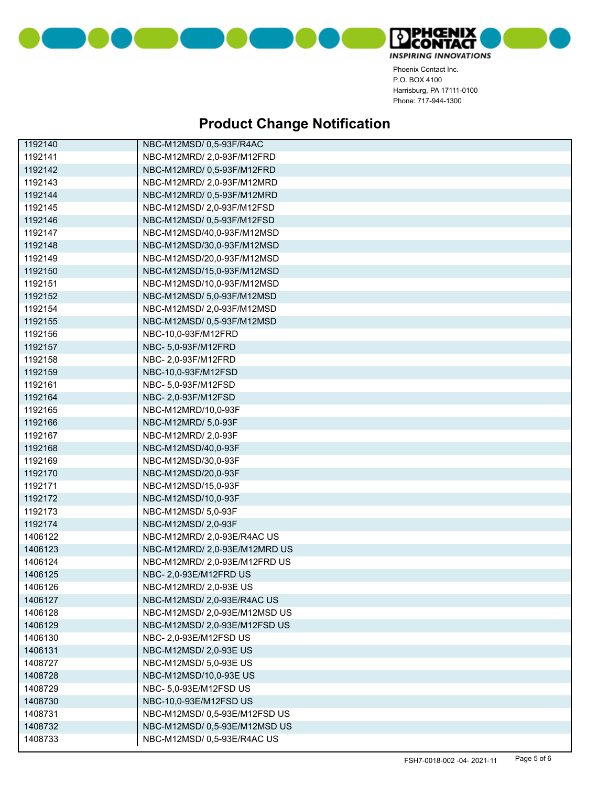



| 1192140 | NBC-M12MSD/ 0,5-93F/R4AC      |
|---------|-------------------------------|
| 1192141 | NBC-M12MRD/ 2,0-93F/M12FRD    |
| 1192142 | NBC-M12MRD/ 0,5-93F/M12FRD    |
| 1192143 | NBC-M12MRD/ 2,0-93F/M12MRD    |
| 1192144 | NBC-M12MRD/ 0,5-93F/M12MRD    |
| 1192145 | NBC-M12MSD/ 2,0-93F/M12FSD    |
| 1192146 | NBC-M12MSD/ 0,5-93F/M12FSD    |
| 1192147 | NBC-M12MSD/40,0-93F/M12MSD    |
| 1192148 | NBC-M12MSD/30,0-93F/M12MSD    |
| 1192149 | NBC-M12MSD/20,0-93F/M12MSD    |
| 1192150 | NBC-M12MSD/15,0-93F/M12MSD    |
| 1192151 | NBC-M12MSD/10,0-93F/M12MSD    |
| 1192152 | NBC-M12MSD/ 5,0-93F/M12MSD    |
| 1192154 | NBC-M12MSD/ 2,0-93F/M12MSD    |
| 1192155 | NBC-M12MSD/ 0,5-93F/M12MSD    |
| 1192156 | NBC-10,0-93F/M12FRD           |
| 1192157 | NBC- 5,0-93F/M12FRD           |
| 1192158 | NBC-2,0-93F/M12FRD            |
| 1192159 | NBC-10,0-93F/M12FSD           |
| 1192161 | NBC- 5,0-93F/M12FSD           |
| 1192164 | NBC- 2,0-93F/M12FSD           |
| 1192165 | NBC-M12MRD/10,0-93F           |
| 1192166 | NBC-M12MRD/ 5,0-93F           |
| 1192167 | NBC-M12MRD/ 2,0-93F           |
| 1192168 | NBC-M12MSD/40,0-93F           |
| 1192169 | NBC-M12MSD/30,0-93F           |
| 1192170 | NBC-M12MSD/20,0-93F           |
| 1192171 | NBC-M12MSD/15,0-93F           |
| 1192172 | NBC-M12MSD/10,0-93F           |
| 1192173 | NBC-M12MSD/ 5,0-93F           |
| 1192174 | NBC-M12MSD/ 2,0-93F           |
| 1406122 | NBC-M12MRD/ 2,0-93E/R4AC US   |
| 1406123 | NBC-M12MRD/2,0-93E/M12MRD US  |
| 1406124 | NBC-M12MRD/2,0-93E/M12FRD US  |
| 1406125 | NBC- 2,0-93E/M12FRD US        |
| 1406126 | NBC-M12MRD/ 2,0-93E US        |
| 1406127 | NBC-M12MSD/ 2,0-93E/R4AC US   |
| 1406128 | NBC-M12MSD/ 2,0-93E/M12MSD US |
| 1406129 | NBC-M12MSD/ 2,0-93E/M12FSD US |
| 1406130 | NBC- 2,0-93E/M12FSD US        |
| 1406131 | NBC-M12MSD/ 2,0-93E US        |
| 1408727 | NBC-M12MSD/ 5,0-93E US        |
| 1408728 | NBC-M12MSD/10,0-93E US        |
| 1408729 | NBC- 5,0-93E/M12FSD US        |
| 1408730 | NBC-10.0-93E/M12FSD US        |
| 1408731 | NBC-M12MSD/0,5-93E/M12FSDUS   |
| 1408732 | NBC-M12MSD/ 0,5-93E/M12MSD US |
| 1408733 | NBC-M12MSD/0,5-93E/R4ACUS     |
|         |                               |